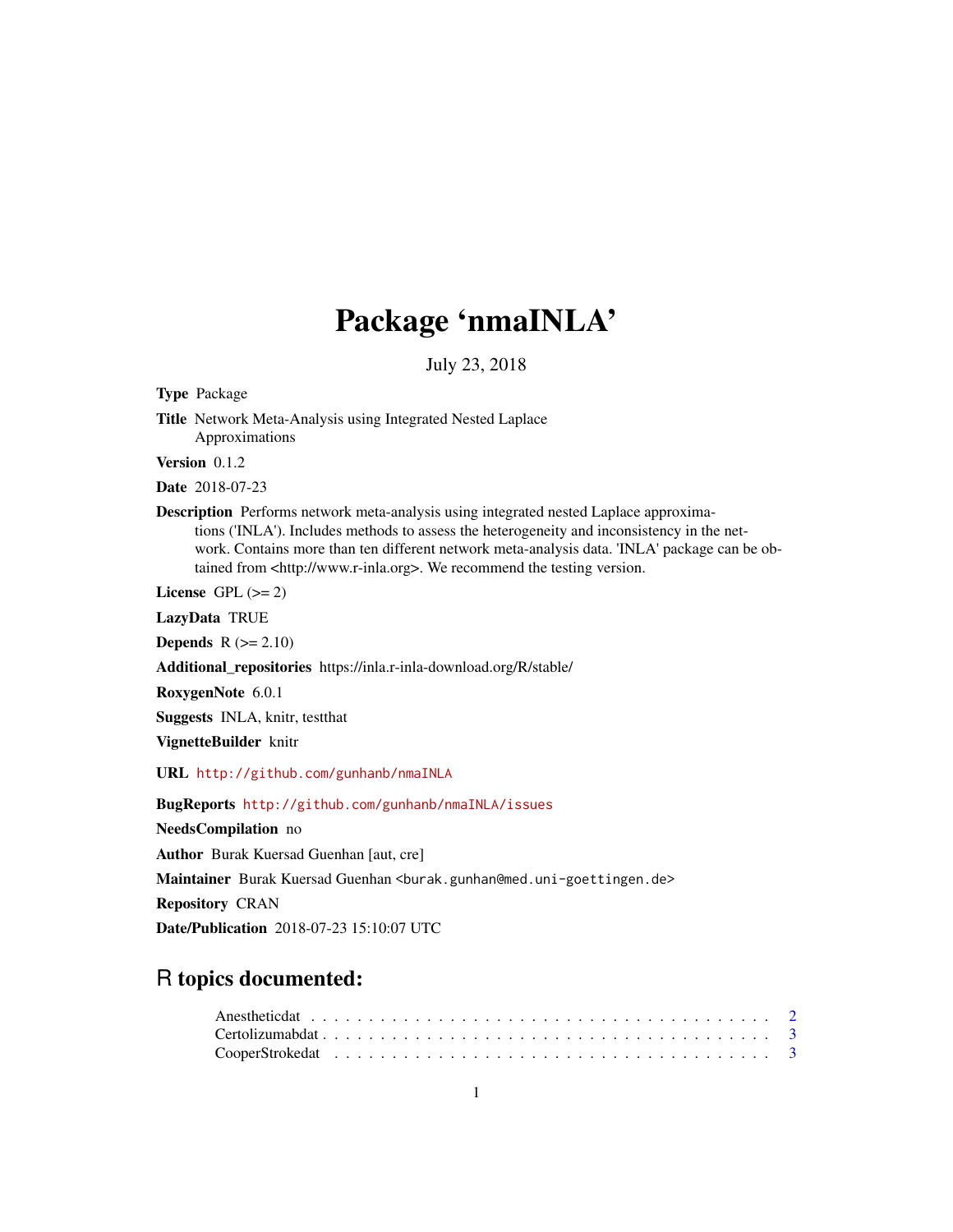# Package 'nmaINLA'

July 23, 2018

Type Package Title Network Meta-Analysis using Integrated Nested Laplace Approximations Version 0.1.2 Date 2018-07-23 Description Performs network meta-analysis using integrated nested Laplace approximations ('INLA'). Includes methods to assess the heterogeneity and inconsistency in the network. Contains more than ten different network meta-analysis data. 'INLA' package can be obtained from <http://www.r-inla.org>. We recommend the testing version. License GPL  $(>= 2)$ LazyData TRUE Depends  $R (= 2.10)$ Additional\_repositories https://inla.r-inla-download.org/R/stable/

RoxygenNote 6.0.1

Suggests INLA, knitr, testthat

VignetteBuilder knitr

URL <http://github.com/gunhanb/nmaINLA>

BugReports <http://github.com/gunhanb/nmaINLA/issues>

NeedsCompilation no

Author Burak Kuersad Guenhan [aut, cre]

Maintainer Burak Kuersad Guenhan <burak.gunhan@med.uni-goettingen.de>

Repository CRAN

Date/Publication 2018-07-23 15:10:07 UTC

# R topics documented: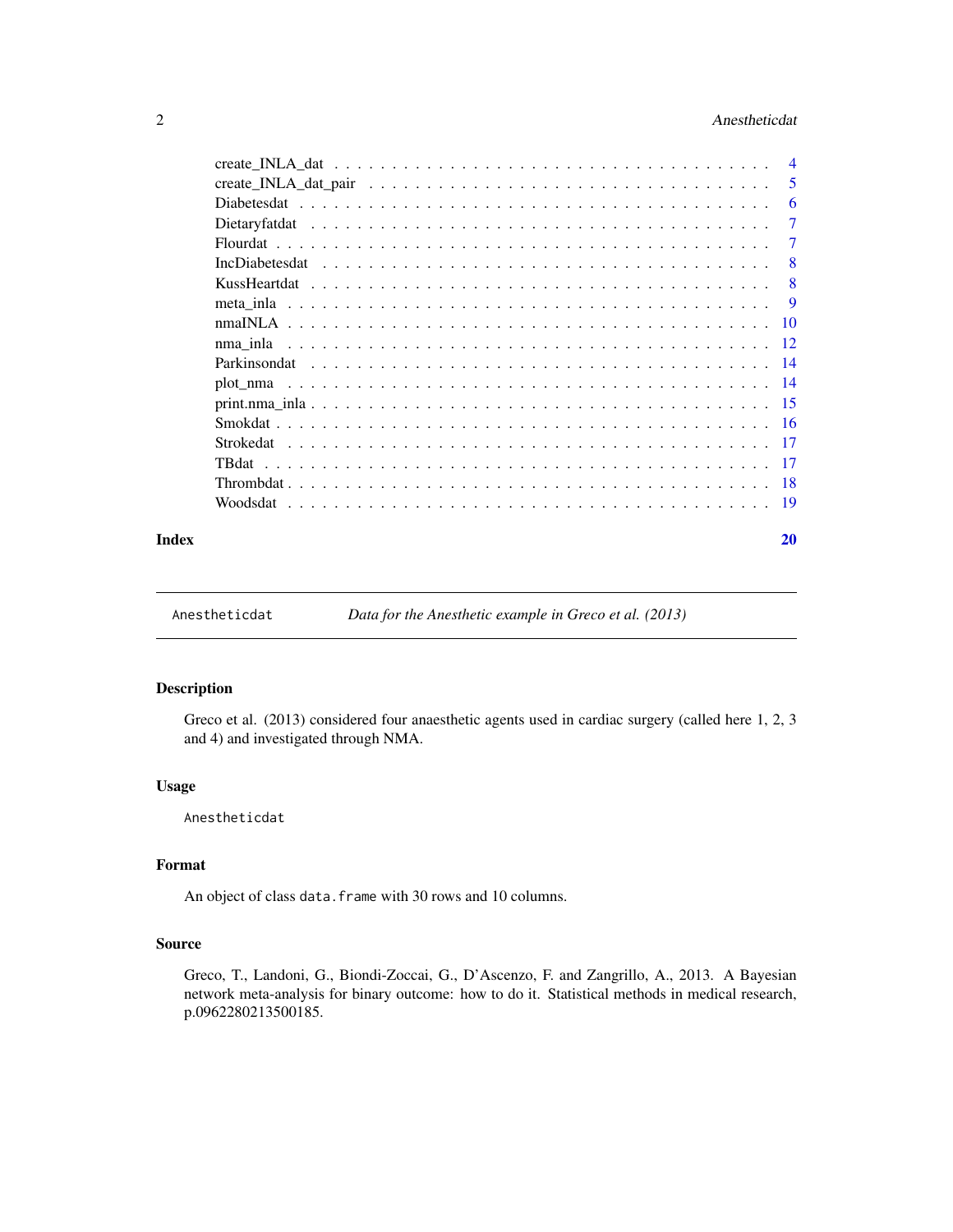# <span id="page-1-0"></span>2 **Anestheticdat**

|       | -5 |
|-------|----|
|       | -6 |
|       | 7  |
|       | 7  |
|       | -8 |
|       | -8 |
|       | -9 |
|       |    |
|       |    |
|       |    |
|       |    |
|       |    |
|       |    |
|       |    |
|       |    |
|       |    |
|       |    |
| Index | 20 |

Anestheticdat *Data for the Anesthetic example in Greco et al. (2013)*

#### Description

Greco et al. (2013) considered four anaesthetic agents used in cardiac surgery (called here 1, 2, 3 and 4) and investigated through NMA.

# Usage

Anestheticdat

# Format

An object of class data. frame with 30 rows and 10 columns.

#### Source

Greco, T., Landoni, G., Biondi-Zoccai, G., D'Ascenzo, F. and Zangrillo, A., 2013. A Bayesian network meta-analysis for binary outcome: how to do it. Statistical methods in medical research, p.0962280213500185.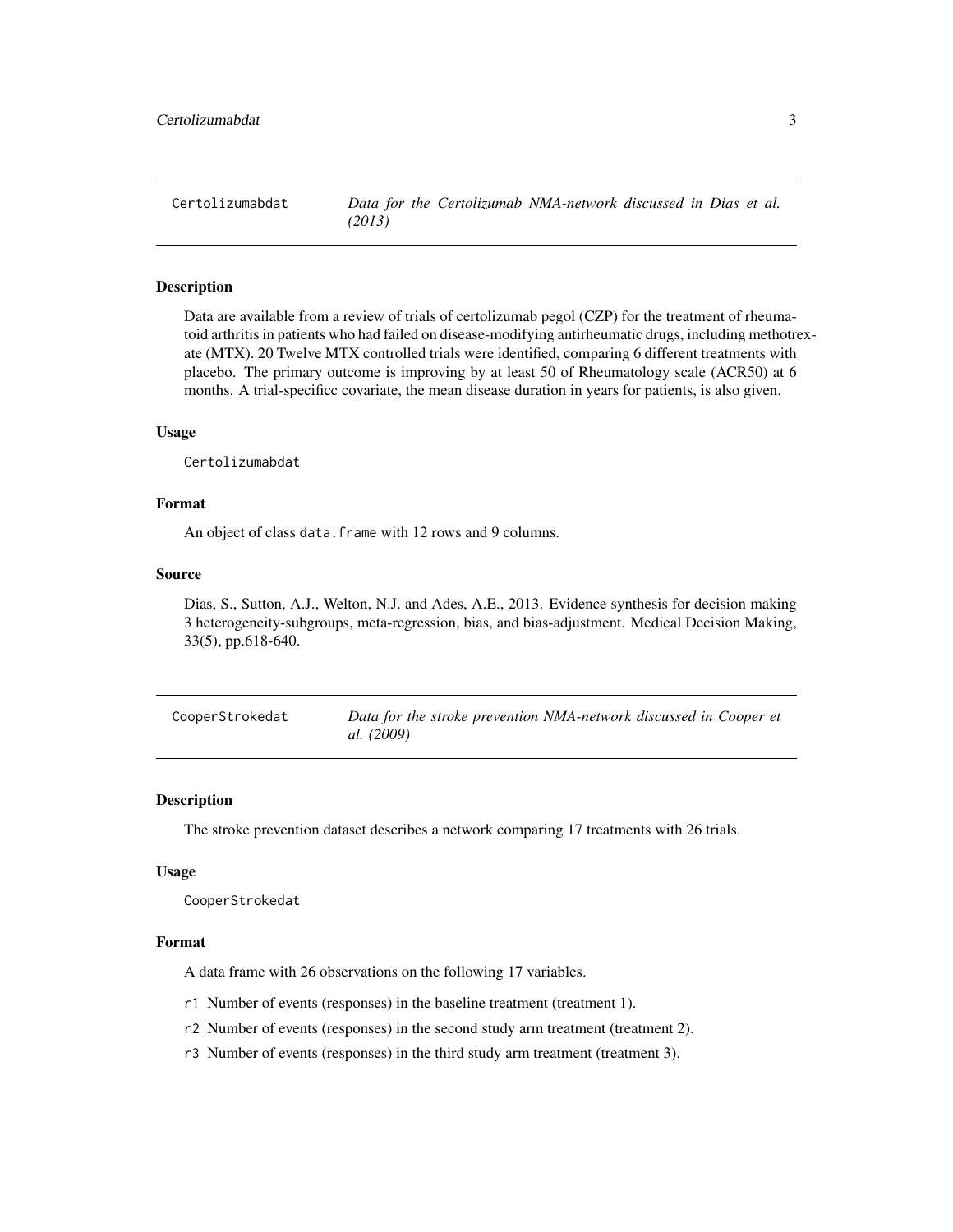<span id="page-2-0"></span>Certolizumabdat *Data for the Certolizumab NMA-network discussed in Dias et al. (2013)*

#### Description

Data are available from a review of trials of certolizumab pegol (CZP) for the treatment of rheumatoid arthritis in patients who had failed on disease-modifying antirheumatic drugs, including methotrexate (MTX). 20 Twelve MTX controlled trials were identified, comparing 6 different treatments with placebo. The primary outcome is improving by at least 50 of Rheumatology scale (ACR50) at 6 months. A trial-specificc covariate, the mean disease duration in years for patients, is also given.

#### Usage

Certolizumabdat

# Format

An object of class data. frame with 12 rows and 9 columns.

#### Source

Dias, S., Sutton, A.J., Welton, N.J. and Ades, A.E., 2013. Evidence synthesis for decision making 3 heterogeneity-subgroups, meta-regression, bias, and bias-adjustment. Medical Decision Making, 33(5), pp.618-640.

| CooperStrokedat | Data for the stroke prevention NMA-network discussed in Cooper et |
|-----------------|-------------------------------------------------------------------|
|                 | al. (2009)                                                        |

#### Description

The stroke prevention dataset describes a network comparing 17 treatments with 26 trials.

#### Usage

CooperStrokedat

#### Format

A data frame with 26 observations on the following 17 variables.

- r1 Number of events (responses) in the baseline treatment (treatment 1).
- r2 Number of events (responses) in the second study arm treatment (treatment 2).
- r3 Number of events (responses) in the third study arm treatment (treatment 3).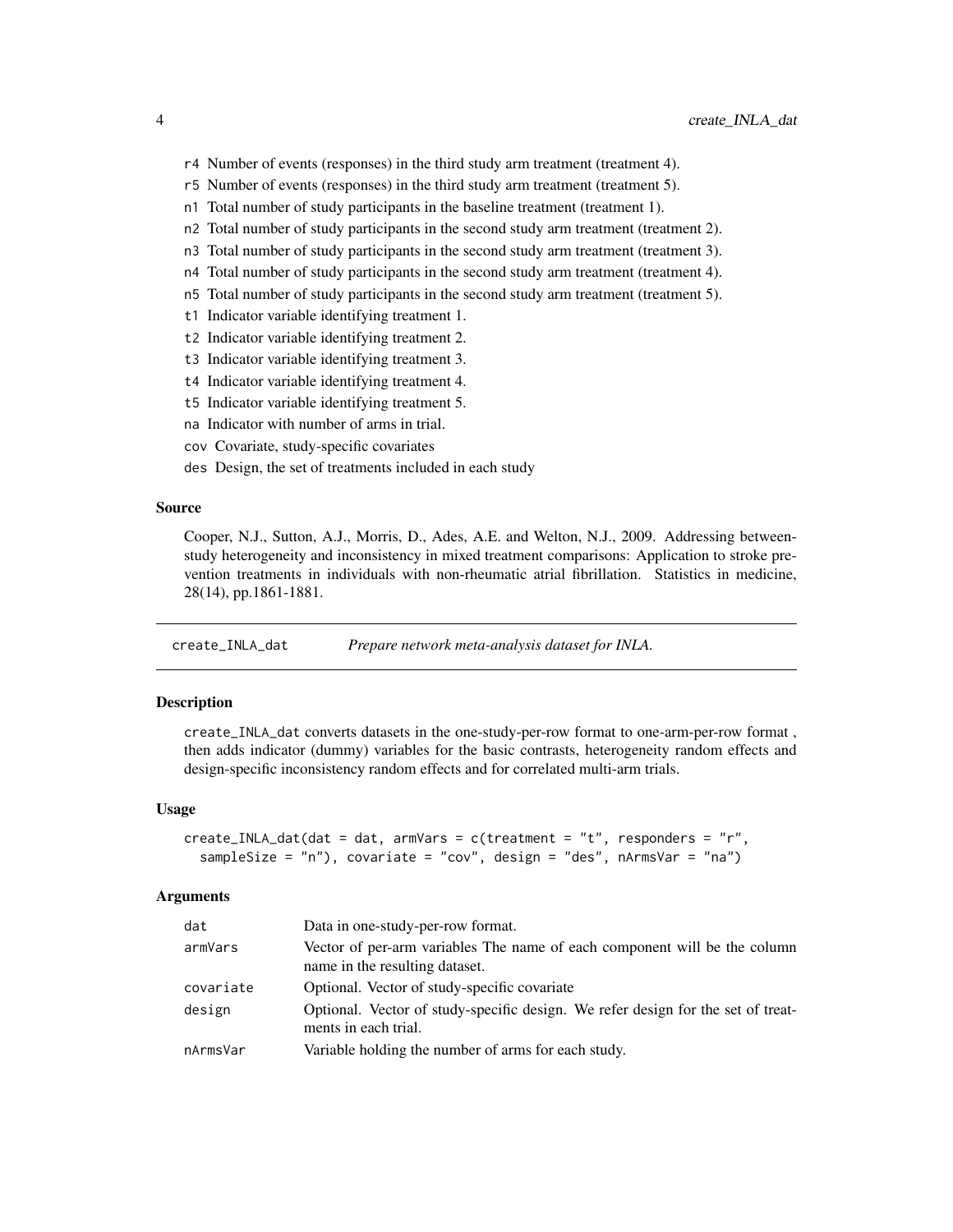- <span id="page-3-0"></span>r4 Number of events (responses) in the third study arm treatment (treatment 4).
- r5 Number of events (responses) in the third study arm treatment (treatment 5).
- n1 Total number of study participants in the baseline treatment (treatment 1).
- n2 Total number of study participants in the second study arm treatment (treatment 2).
- n3 Total number of study participants in the second study arm treatment (treatment 3).
- n4 Total number of study participants in the second study arm treatment (treatment 4).
- n5 Total number of study participants in the second study arm treatment (treatment 5).
- t1 Indicator variable identifying treatment 1.
- t2 Indicator variable identifying treatment 2.
- t3 Indicator variable identifying treatment 3.
- t4 Indicator variable identifying treatment 4.
- t5 Indicator variable identifying treatment 5.
- na Indicator with number of arms in trial.
- cov Covariate, study-specific covariates
- des Design, the set of treatments included in each study

#### Source

Cooper, N.J., Sutton, A.J., Morris, D., Ades, A.E. and Welton, N.J., 2009. Addressing betweenstudy heterogeneity and inconsistency in mixed treatment comparisons: Application to stroke prevention treatments in individuals with non-rheumatic atrial fibrillation. Statistics in medicine, 28(14), pp.1861-1881.

create\_INLA\_dat *Prepare network meta-analysis dataset for INLA.*

#### **Description**

create\_INLA\_dat converts datasets in the one-study-per-row format to one-arm-per-row format , then adds indicator (dummy) variables for the basic contrasts, heterogeneity random effects and design-specific inconsistency random effects and for correlated multi-arm trials.

#### Usage

```
create_INLA_dat(dat = dat, armVars = c(treatment = "t", responders = "r",
  sampleSize = "n"), covariate = "cov", design = "des", nArmsVar = "na")
```

| dat       | Data in one-study-per-row format.                                                                           |
|-----------|-------------------------------------------------------------------------------------------------------------|
| armVars   | Vector of per-arm variables The name of each component will be the column<br>name in the resulting dataset. |
| covariate | Optional. Vector of study-specific covariate                                                                |
| design    | Optional. Vector of study-specific design. We refer design for the set of treat-<br>ments in each trial.    |
| nArmsVar  | Variable holding the number of arms for each study.                                                         |
|           |                                                                                                             |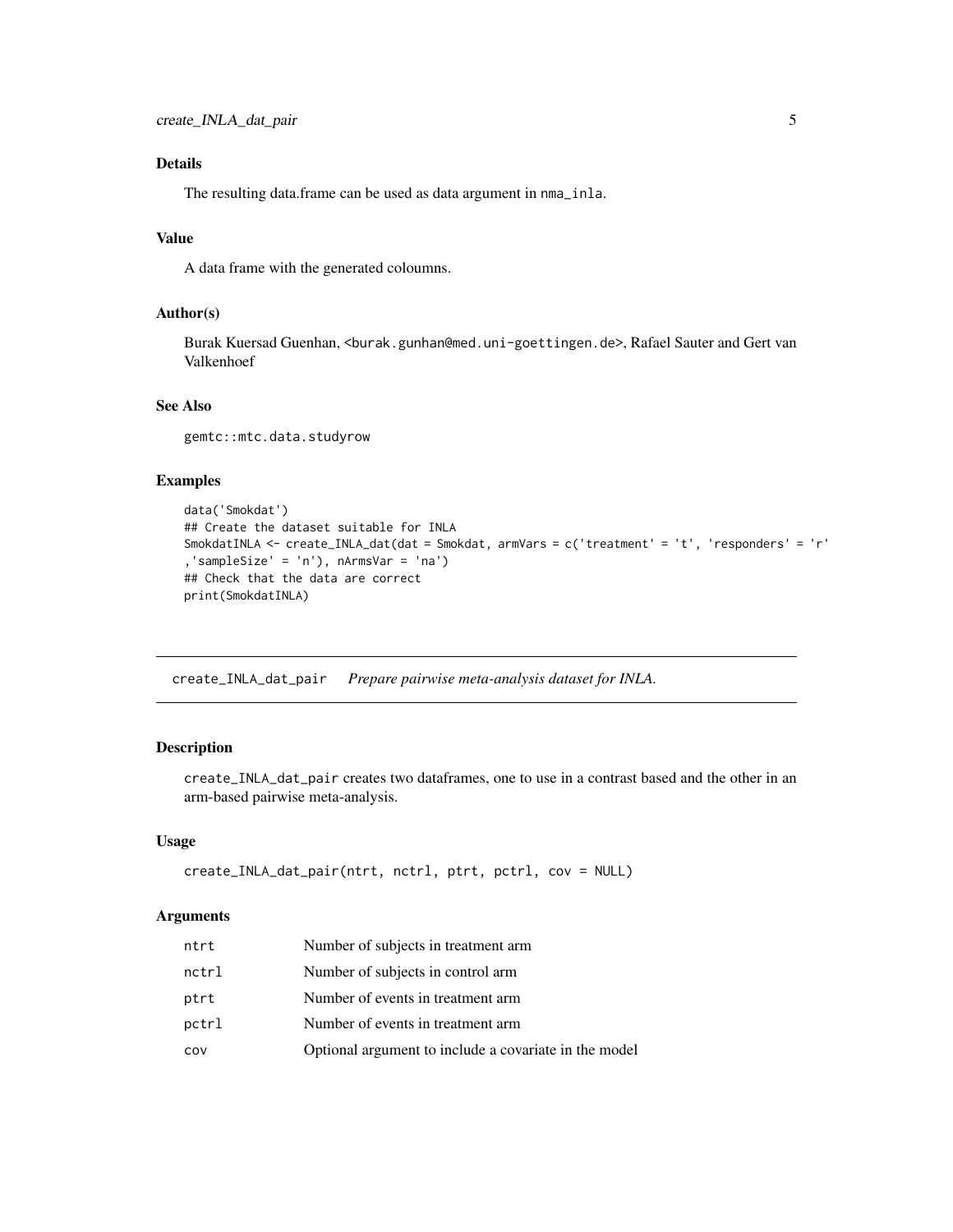# <span id="page-4-0"></span>Details

The resulting data.frame can be used as data argument in nma\_inla.

### Value

A data frame with the generated coloumns.

### Author(s)

Burak Kuersad Guenhan, <burak.gunhan@med.uni-goettingen.de>, Rafael Sauter and Gert van Valkenhoef

# See Also

gemtc::mtc.data.studyrow

# Examples

```
data('Smokdat')
## Create the dataset suitable for INLA
SmokdatINLA <- create_INLA_dat(dat = Smokdat, armVars = c('treatment' = 't', 'responders' = 'r'
,'sampleSize' = 'n'), nArmsVar = 'na')
## Check that the data are correct
print(SmokdatINLA)
```
create\_INLA\_dat\_pair *Prepare pairwise meta-analysis dataset for INLA.*

# Description

create\_INLA\_dat\_pair creates two dataframes, one to use in a contrast based and the other in an arm-based pairwise meta-analysis.

#### Usage

```
create_INLA_dat_pair(ntrt, nctrl, ptrt, pctrl, cov = NULL)
```

| ntrt  | Number of subjects in treatment arm                   |
|-------|-------------------------------------------------------|
| nctrl | Number of subjects in control arm                     |
| ptrt  | Number of events in treatment arm                     |
| pctrl | Number of events in treatment arm.                    |
| cov   | Optional argument to include a covariate in the model |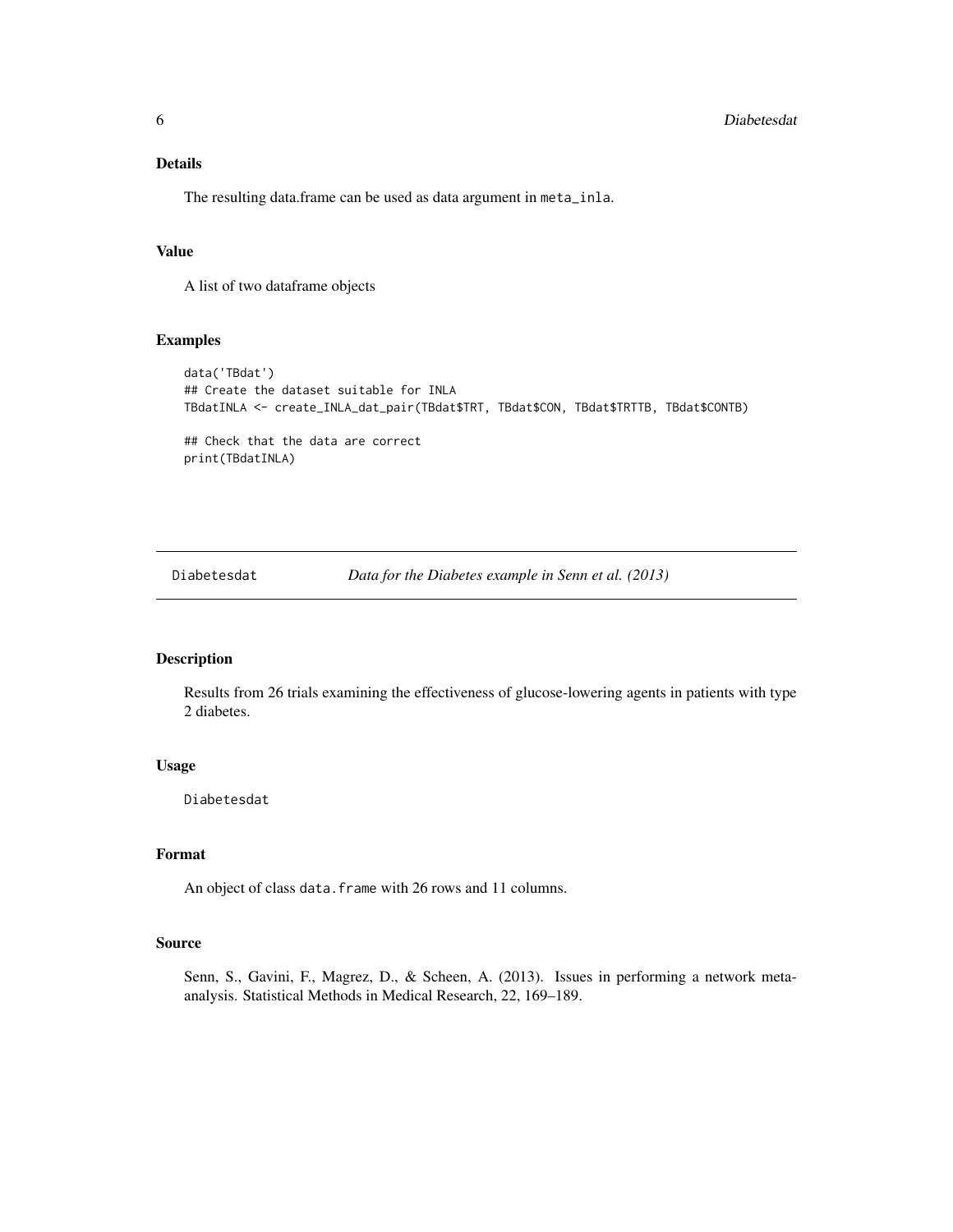# <span id="page-5-0"></span>Details

The resulting data.frame can be used as data argument in meta\_inla.

## Value

A list of two dataframe objects

#### Examples

```
data('TBdat')
## Create the dataset suitable for INLA
TBdatINLA <- create_INLA_dat_pair(TBdat$TRT, TBdat$CON, TBdat$TRTTB, TBdat$CONTB)
## Check that the data are correct
print(TBdatINLA)
```
Diabetesdat *Data for the Diabetes example in Senn et al. (2013)*

# Description

Results from 26 trials examining the effectiveness of glucose-lowering agents in patients with type 2 diabetes.

# Usage

Diabetesdat

# Format

An object of class data.frame with 26 rows and 11 columns.

#### Source

Senn, S., Gavini, F., Magrez, D., & Scheen, A. (2013). Issues in performing a network metaanalysis. Statistical Methods in Medical Research, 22, 169–189.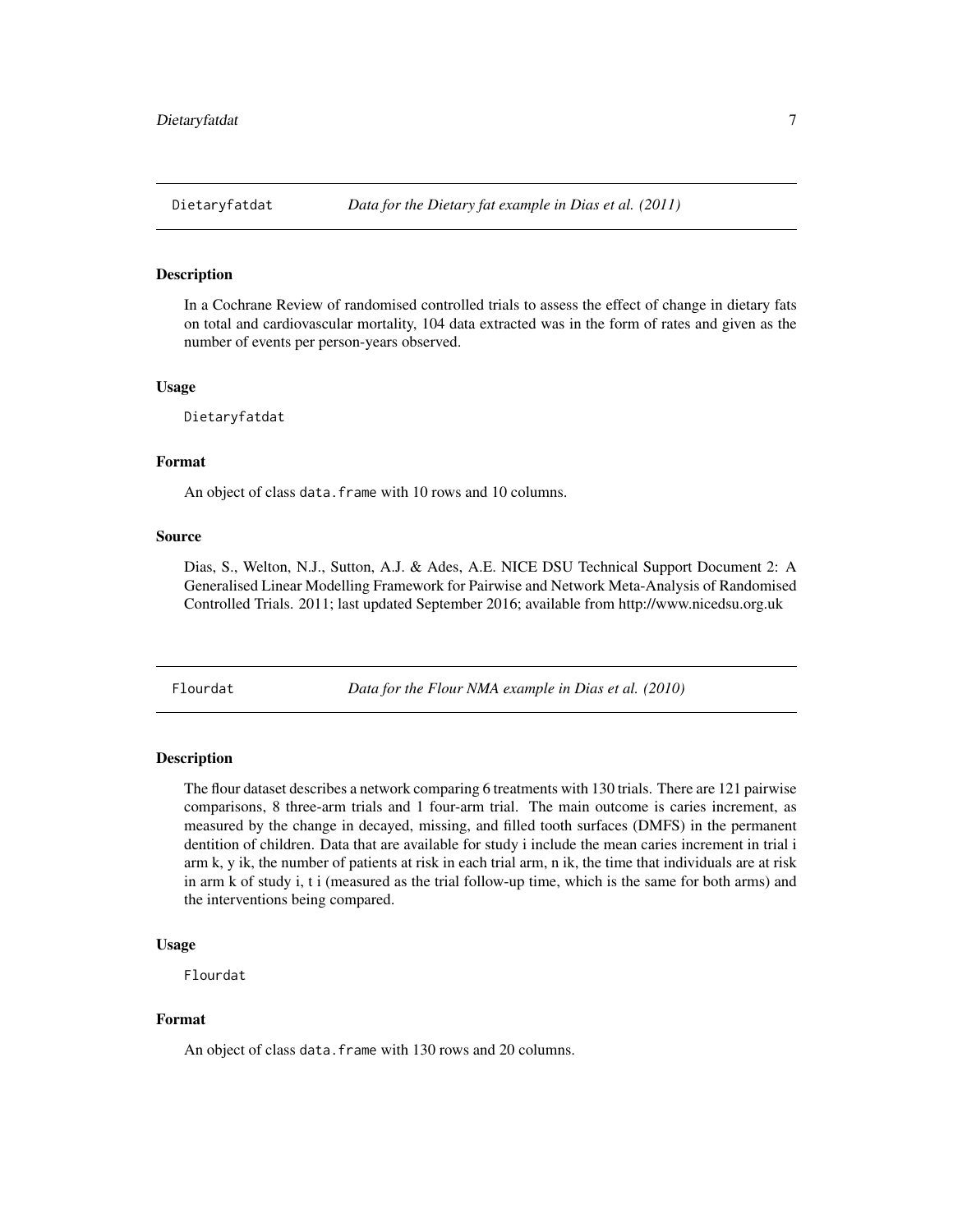<span id="page-6-0"></span>In a Cochrane Review of randomised controlled trials to assess the effect of change in dietary fats on total and cardiovascular mortality, 104 data extracted was in the form of rates and given as the number of events per person-years observed.

#### Usage

Dietaryfatdat

#### Format

An object of class data.frame with 10 rows and 10 columns.

#### Source

Dias, S., Welton, N.J., Sutton, A.J. & Ades, A.E. NICE DSU Technical Support Document 2: A Generalised Linear Modelling Framework for Pairwise and Network Meta-Analysis of Randomised Controlled Trials. 2011; last updated September 2016; available from http://www.nicedsu.org.uk

Flourdat *Data for the Flour NMA example in Dias et al. (2010)*

#### Description

The flour dataset describes a network comparing 6 treatments with 130 trials. There are 121 pairwise comparisons, 8 three-arm trials and 1 four-arm trial. The main outcome is caries increment, as measured by the change in decayed, missing, and filled tooth surfaces (DMFS) in the permanent dentition of children. Data that are available for study i include the mean caries increment in trial i arm k, y ik, the number of patients at risk in each trial arm, n ik, the time that individuals are at risk in arm k of study i, t i (measured as the trial follow-up time, which is the same for both arms) and the interventions being compared.

#### Usage

Flourdat

### Format

An object of class data.frame with 130 rows and 20 columns.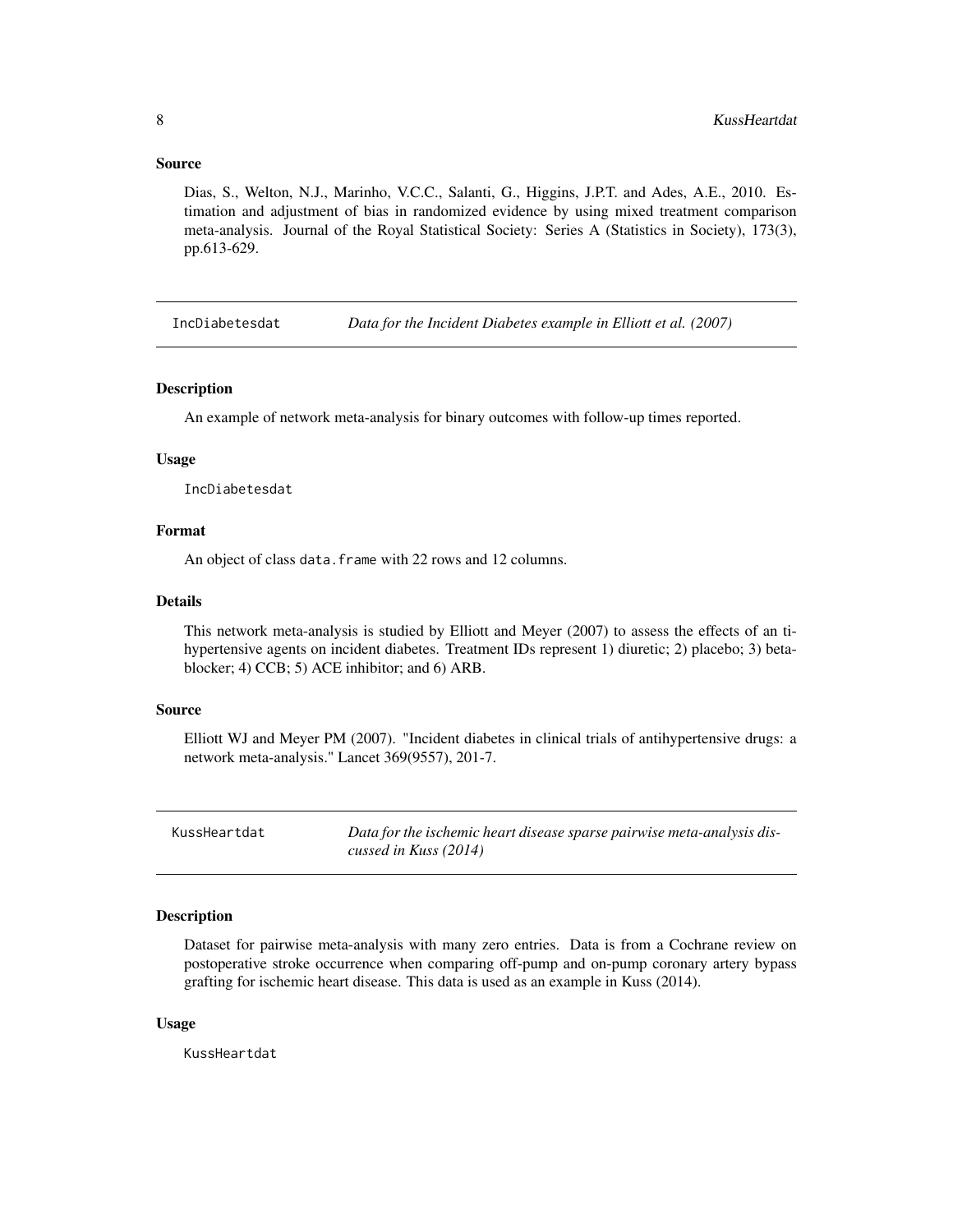#### <span id="page-7-0"></span>Source

Dias, S., Welton, N.J., Marinho, V.C.C., Salanti, G., Higgins, J.P.T. and Ades, A.E., 2010. Estimation and adjustment of bias in randomized evidence by using mixed treatment comparison meta-analysis. Journal of the Royal Statistical Society: Series A (Statistics in Society), 173(3), pp.613-629.

IncDiabetesdat *Data for the Incident Diabetes example in Elliott et al. (2007)*

#### Description

An example of network meta-analysis for binary outcomes with follow-up times reported.

#### Usage

IncDiabetesdat

# Format

An object of class data.frame with 22 rows and 12 columns.

# Details

This network meta-analysis is studied by Elliott and Meyer (2007) to assess the effects of an tihypertensive agents on incident diabetes. Treatment IDs represent 1) diuretic; 2) placebo; 3) betablocker; 4) CCB; 5) ACE inhibitor; and 6) ARB.

#### Source

Elliott WJ and Meyer PM (2007). "Incident diabetes in clinical trials of antihypertensive drugs: a network meta-analysis." Lancet 369(9557), 201-7.

KussHeartdat *Data for the ischemic heart disease sparse pairwise meta-analysis discussed in Kuss (2014)*

#### Description

Dataset for pairwise meta-analysis with many zero entries. Data is from a Cochrane review on postoperative stroke occurrence when comparing off-pump and on-pump coronary artery bypass grafting for ischemic heart disease. This data is used as an example in Kuss (2014).

#### Usage

KussHeartdat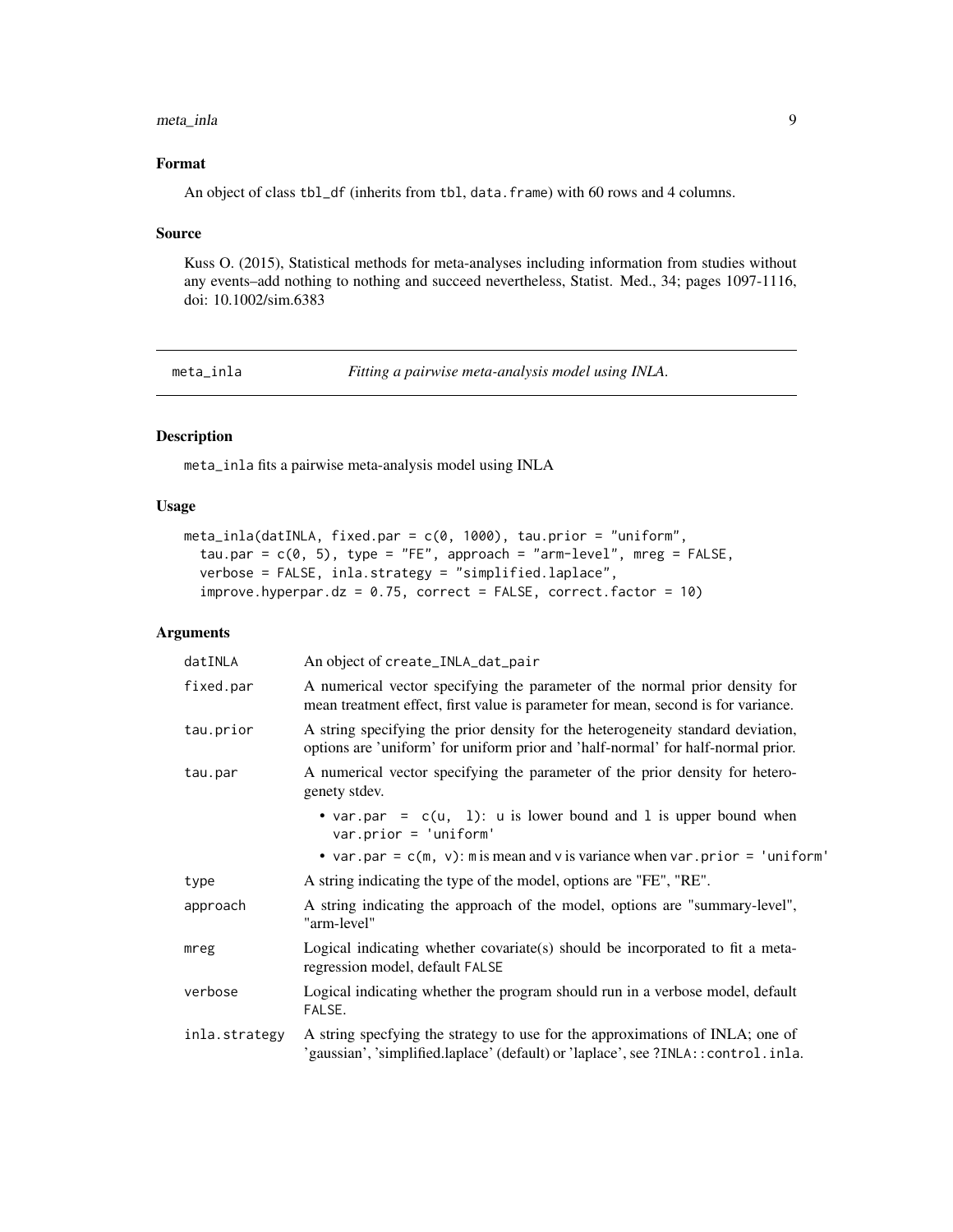#### <span id="page-8-0"></span>meta\_inla 9

# Format

An object of class tbl\_df (inherits from tbl, data.frame) with 60 rows and 4 columns.

#### Source

Kuss O. (2015), Statistical methods for meta-analyses including information from studies without any events–add nothing to nothing and succeed nevertheless, Statist. Med., 34; pages 1097-1116, doi: 10.1002/sim.6383

meta\_inla *Fitting a pairwise meta-analysis model using INLA.*

# Description

meta\_inla fits a pairwise meta-analysis model using INLA

# Usage

```
meta_inla(datINLA, fixed.par = c(0, 1000), tau.prior = "uniform",
  tau.par = c(0, 5), type = "FE", approach = "arm-level", mreg = FALSE,
  verbose = FALSE, inla.strategy = "simplified.laplace",
  improve.hyperpar.dz = 0.75, correct = FALSE, correct.factor = 10)
```

| datINLA       | An object of create_INLA_dat_pair                                                                                                                                   |
|---------------|---------------------------------------------------------------------------------------------------------------------------------------------------------------------|
| fixed.par     | A numerical vector specifying the parameter of the normal prior density for<br>mean treatment effect, first value is parameter for mean, second is for variance.    |
| tau.prior     | A string specifying the prior density for the heterogeneity standard deviation,<br>options are 'uniform' for uniform prior and 'half-normal' for half-normal prior. |
| tau.par       | A numerical vector specifying the parameter of the prior density for hetero-<br>genety stdev.                                                                       |
|               | • var.par = $c(u, 1)$ : u is lower bound and 1 is upper bound when<br>$var.prior = 'uniform'$                                                                       |
|               | • var.par = $c(m, v)$ : m is mean and v is variance when var.prior = 'uniform'                                                                                      |
| type          | A string indicating the type of the model, options are "FE", "RE".                                                                                                  |
| approach      | A string indicating the approach of the model, options are "summary-level",<br>"arm-level"                                                                          |
| mreg          | Logical indicating whether covariate(s) should be incorporated to fit a meta-<br>regression model, default FALSE                                                    |
| verbose       | Logical indicating whether the program should run in a verbose model, default<br>FALSE.                                                                             |
| inla.strategy | A string specfying the strategy to use for the approximations of INLA; one of<br>'gaussian', 'simplified.laplace' (default) or 'laplace', see ?INLA:: control.inla. |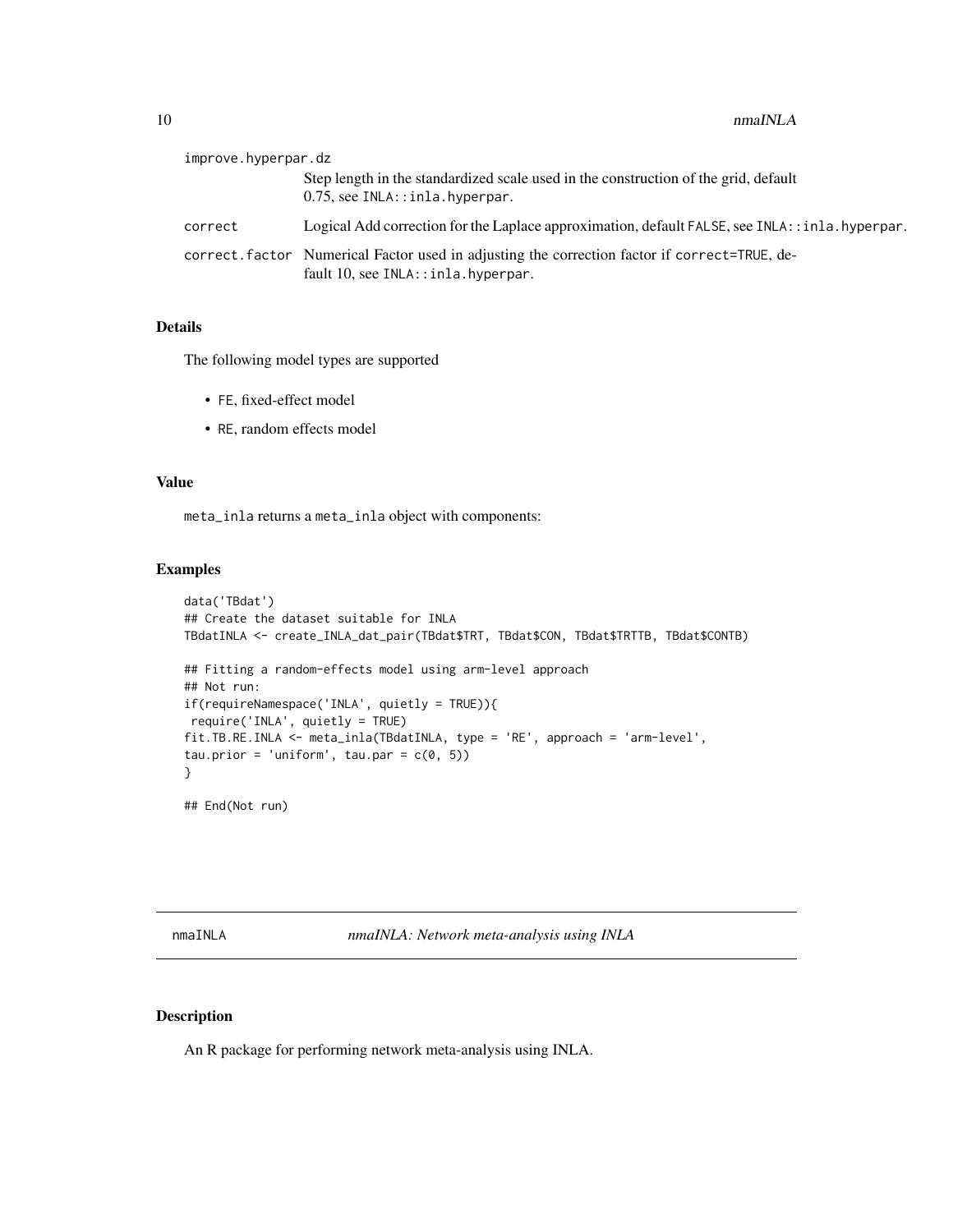<span id="page-9-0"></span>

| improve.hyperpar.dz |                                                                                                                                      |
|---------------------|--------------------------------------------------------------------------------------------------------------------------------------|
|                     | Step length in the standardized scale used in the construction of the grid, default<br>$0.75$ , see INLA::inla.hyperpar.             |
| correct             | Logical Add correction for the Laplace approximation, default FALSE, see INLA: : inla. hyperpar.                                     |
|                     | correct. factor Numerical Factor used in adjusting the correction factor if correct=TRUE, de-<br>fault 10, see INLA:: inla.hyperpar. |

# Details

The following model types are supported

- FE, fixed-effect model
- RE, random effects model

# Value

meta\_inla returns a meta\_inla object with components:

# Examples

```
data('TBdat')
## Create the dataset suitable for INLA
TBdatINLA <- create_INLA_dat_pair(TBdat$TRT, TBdat$CON, TBdat$TRTTB, TBdat$CONTB)
## Fitting a random-effects model using arm-level approach
## Not run:
if(requireNamespace('INLA', quietly = TRUE)){
require('INLA', quietly = TRUE)
fit.TB.RE.INLA <- meta_inla(TBdatINLA, type = 'RE', approach = 'arm-level',
tau.prior = 'uniform', tau.par = c(0, 5))
}
## End(Not run)
```
nmaINLA *nmaINLA: Network meta-analysis using INLA*

# Description

An R package for performing network meta-analysis using INLA.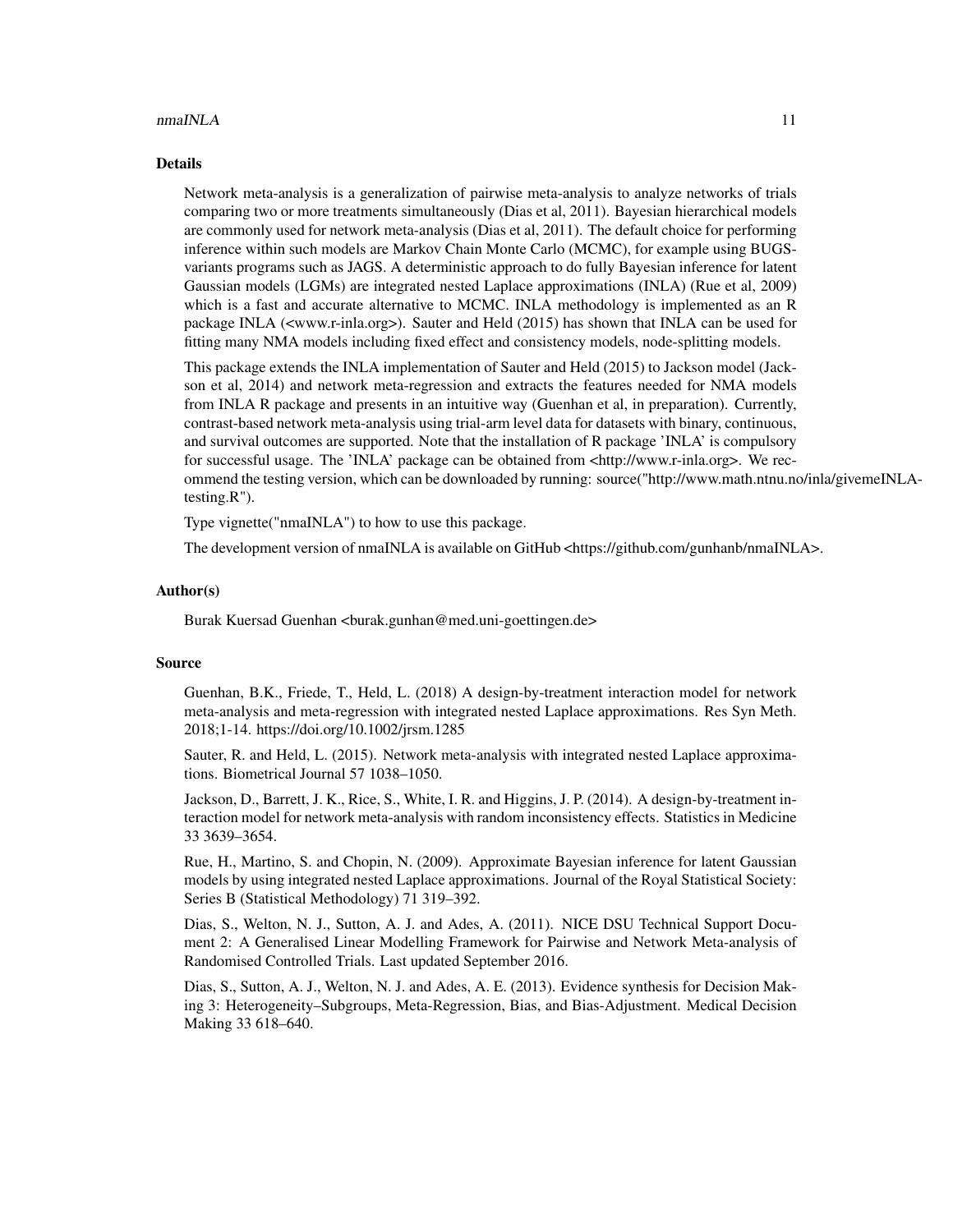#### $n_{\text{max}}$  11

#### Details

Network meta-analysis is a generalization of pairwise meta-analysis to analyze networks of trials comparing two or more treatments simultaneously (Dias et al, 2011). Bayesian hierarchical models are commonly used for network meta-analysis (Dias et al, 2011). The default choice for performing inference within such models are Markov Chain Monte Carlo (MCMC), for example using BUGSvariants programs such as JAGS. A deterministic approach to do fully Bayesian inference for latent Gaussian models (LGMs) are integrated nested Laplace approximations (INLA) (Rue et al, 2009) which is a fast and accurate alternative to MCMC. INLA methodology is implemented as an R package INLA (<www.r-inla.org>). Sauter and Held (2015) has shown that INLA can be used for fitting many NMA models including fixed effect and consistency models, node-splitting models.

This package extends the INLA implementation of Sauter and Held (2015) to Jackson model (Jackson et al, 2014) and network meta-regression and extracts the features needed for NMA models from INLA R package and presents in an intuitive way (Guenhan et al, in preparation). Currently, contrast-based network meta-analysis using trial-arm level data for datasets with binary, continuous, and survival outcomes are supported. Note that the installation of R package 'INLA' is compulsory for successful usage. The 'INLA' package can be obtained from <http://www.r-inla.org>. We recommend the testing version, which can be downloaded by running: source("http://www.math.ntnu.no/inla/givemeINLAtesting.R").

Type vignette("nmaINLA") to how to use this package.

The development version of nmaINLA is available on GitHub <https://github.com/gunhanb/nmaINLA>.

#### Author(s)

Burak Kuersad Guenhan <burak.gunhan@med.uni-goettingen.de>

#### Source

Guenhan, B.K., Friede, T., Held, L. (2018) A design-by-treatment interaction model for network meta-analysis and meta-regression with integrated nested Laplace approximations. Res Syn Meth. 2018;1-14. https://doi.org/10.1002/jrsm.1285

Sauter, R. and Held, L. (2015). Network meta-analysis with integrated nested Laplace approximations. Biometrical Journal 57 1038–1050.

Jackson, D., Barrett, J. K., Rice, S., White, I. R. and Higgins, J. P. (2014). A design-by-treatment interaction model for network meta-analysis with random inconsistency effects. Statistics in Medicine 33 3639–3654.

Rue, H., Martino, S. and Chopin, N. (2009). Approximate Bayesian inference for latent Gaussian models by using integrated nested Laplace approximations. Journal of the Royal Statistical Society: Series B (Statistical Methodology) 71 319–392.

Dias, S., Welton, N. J., Sutton, A. J. and Ades, A. (2011). NICE DSU Technical Support Document 2: A Generalised Linear Modelling Framework for Pairwise and Network Meta-analysis of Randomised Controlled Trials. Last updated September 2016.

Dias, S., Sutton, A. J., Welton, N. J. and Ades, A. E. (2013). Evidence synthesis for Decision Making 3: Heterogeneity–Subgroups, Meta-Regression, Bias, and Bias-Adjustment. Medical Decision Making 33 618–640.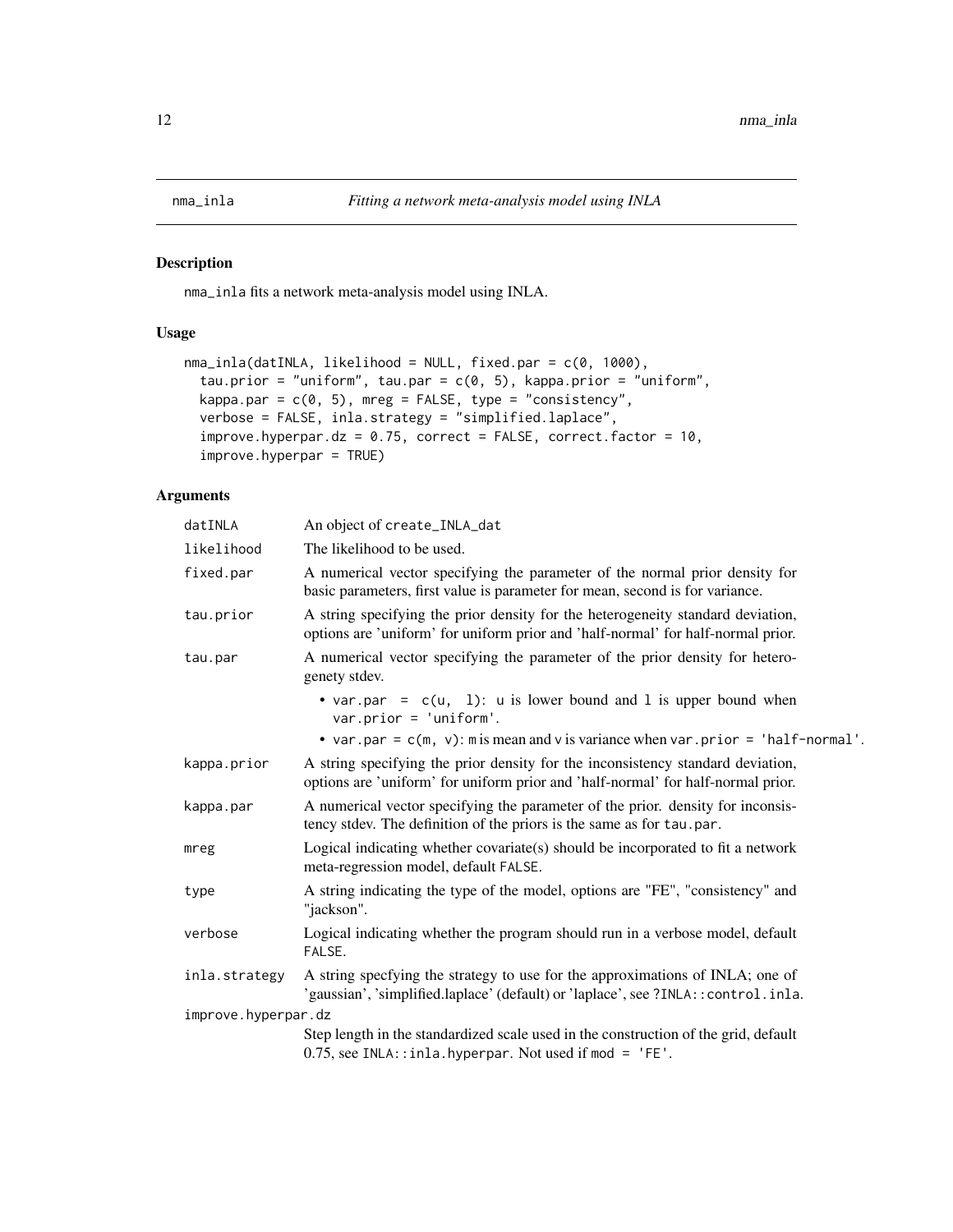<span id="page-11-0"></span>

nma\_inla fits a network meta-analysis model using INLA.

# Usage

```
nma_inla(datINLA, likelihood = NULL, fixed.par = c(0, 1000),
  tau.prior = "uniform", tau.par = c(0, 5), kappa.prior = "uniform",
 kappa.par = c(0, 5), mreg = FALSE, type = "consistency",
 verbose = FALSE, inla.strategy = "simplified.laplace",
  improve. hyperpar. dz = 0.75, correct = FALSE, correct.factor = 10,
  improve.hyperpar = TRUE)
```

| datINLA             | An object of create_INLA_dat                                                                                                                                        |
|---------------------|---------------------------------------------------------------------------------------------------------------------------------------------------------------------|
| likelihood          | The likelihood to be used.                                                                                                                                          |
| fixed.par           | A numerical vector specifying the parameter of the normal prior density for<br>basic parameters, first value is parameter for mean, second is for variance.         |
| tau.prior           | A string specifying the prior density for the heterogeneity standard deviation,<br>options are 'uniform' for uniform prior and 'half-normal' for half-normal prior. |
| tau.par             | A numerical vector specifying the parameter of the prior density for hetero-<br>genety stdev.                                                                       |
|                     | • var.par = $c(u, 1)$ : u is lower bound and 1 is upper bound when<br>$var.prior = 'uniform'.$                                                                      |
|                     | • var.par = $c(m, v)$ : m is mean and v is variance when var.prior = 'half-normal'.                                                                                 |
| kappa.prior         | A string specifying the prior density for the inconsistency standard deviation,<br>options are 'uniform' for uniform prior and 'half-normal' for half-normal prior. |
| kappa.par           | A numerical vector specifying the parameter of the prior. density for inconsis-<br>tency stdev. The definition of the priors is the same as for tau.par.            |
| mreg                | Logical indicating whether covariate(s) should be incorporated to fit a network<br>meta-regression model, default FALSE.                                            |
| type                | A string indicating the type of the model, options are "FE", "consistency" and<br>"jackson".                                                                        |
| verbose             | Logical indicating whether the program should run in a verbose model, default<br>FALSE.                                                                             |
| inla.strategy       | A string specfying the strategy to use for the approximations of INLA; one of<br>'gaussian', 'simplified.laplace' (default) or 'laplace', see ?INLA:: control.inla. |
| improve.hyperpar.dz |                                                                                                                                                                     |
|                     | Step length in the standardized scale used in the construction of the grid, default<br>$0.75$ , see INLA::inla.hyperpar. Not used if mod = 'FE'.                    |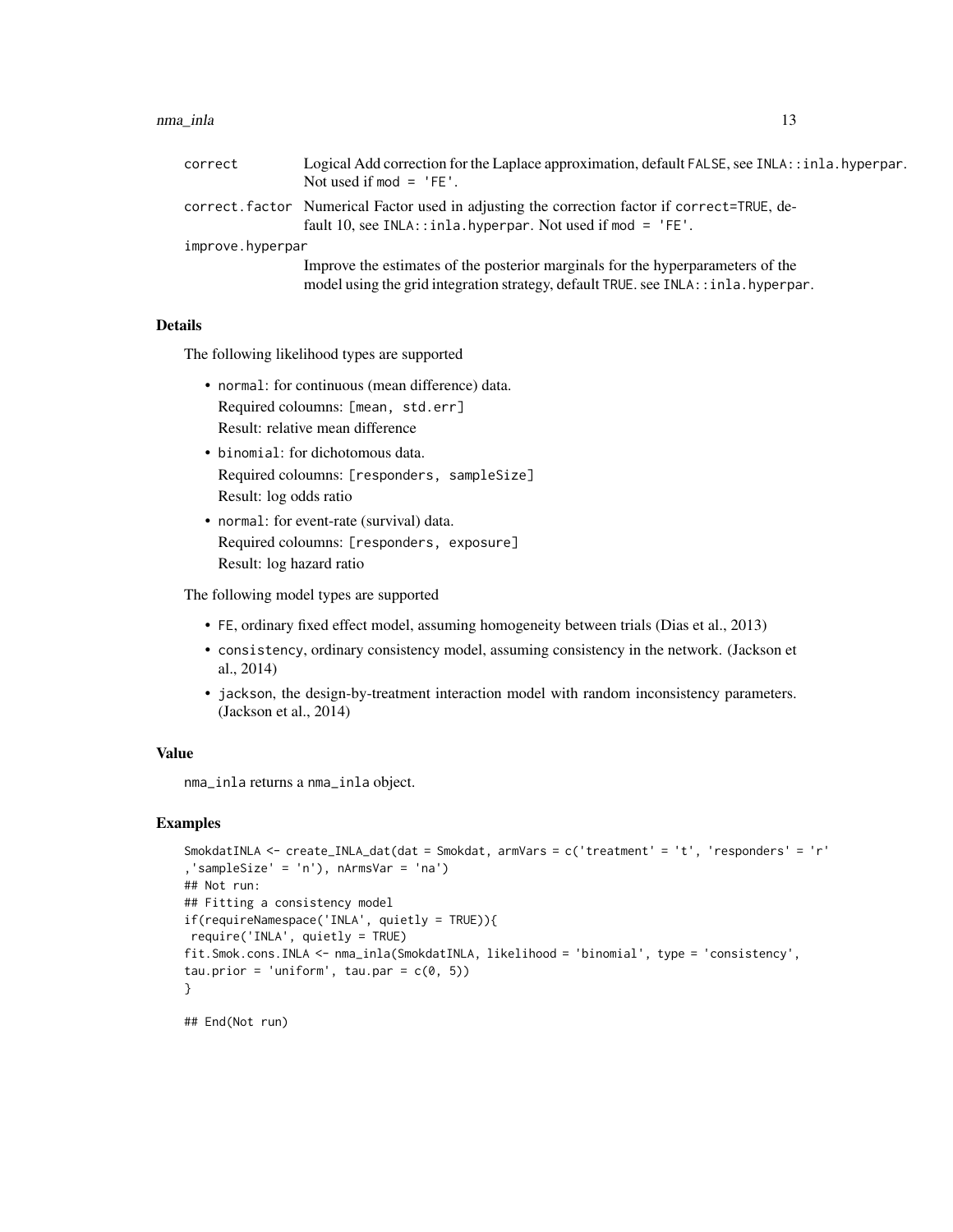#### nma\_inla 13

| correct          | Logical Add correction for the Laplace approximation, default FALSE, see INLA: : inla. hyperpar.<br>Not used if $mod = 'FE'.$                                           |
|------------------|-------------------------------------------------------------------------------------------------------------------------------------------------------------------------|
|                  | correct. factor Numerical Factor used in adjusting the correction factor if correct=TRUE, de-<br>fault 10, see INLA:: inla. hyperpar. Not used if mod = $'FE'$ .        |
| improve.hyperpar |                                                                                                                                                                         |
|                  | Improve the estimates of the posterior marginals for the hyperparameters of the<br>model using the grid integration strategy, default TRUE. see INLA: : inla. hyperpar. |

# Details

The following likelihood types are supported

- normal: for continuous (mean difference) data. Required coloumns: [mean, std.err] Result: relative mean difference
- binomial: for dichotomous data. Required coloumns: [responders, sampleSize] Result: log odds ratio
- normal: for event-rate (survival) data. Required coloumns: [responders, exposure] Result: log hazard ratio

The following model types are supported

- FE, ordinary fixed effect model, assuming homogeneity between trials (Dias et al., 2013)
- consistency, ordinary consistency model, assuming consistency in the network. (Jackson et al., 2014)
- jackson, the design-by-treatment interaction model with random inconsistency parameters. (Jackson et al., 2014)

# Value

nma\_inla returns a nma\_inla object.

#### Examples

```
SmokdatINLA <- create_INLA_dat(dat = Smokdat, armVars = c('treatment' = 't', 'responders' = 'r'
,'sampleSize' = 'n'), nArmsVar = 'na')
## Not run:
## Fitting a consistency model
if(requireNamespace('INLA', quietly = TRUE)){
require('INLA', quietly = TRUE)
fit.Smok.cons.INLA <- nma_inla(SmokdatINLA, likelihood = 'binomial', type = 'consistency',
tau.prior = 'uniform', tau.par = c(\theta, 5))
}
```
## End(Not run)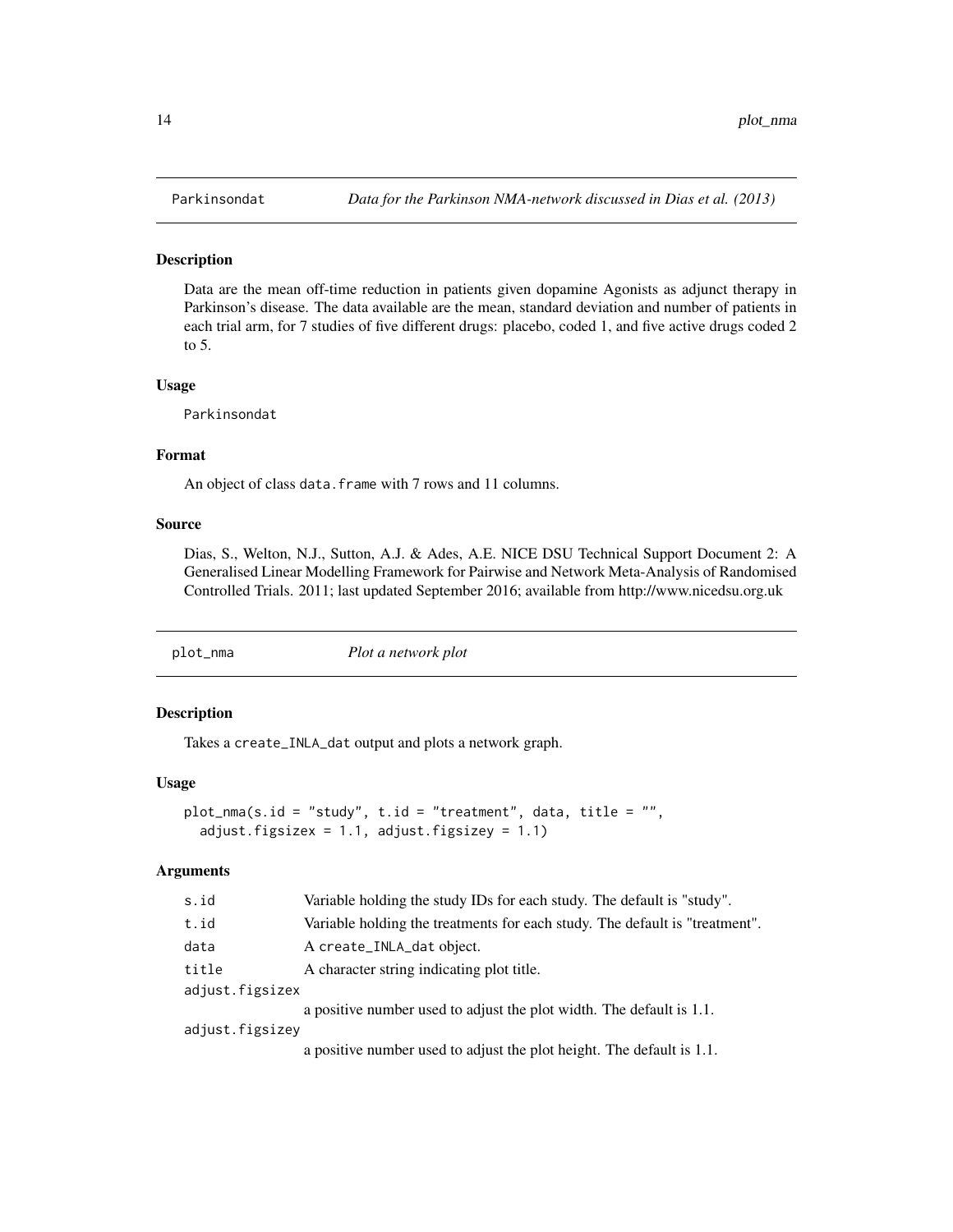<span id="page-13-0"></span>Data are the mean off-time reduction in patients given dopamine Agonists as adjunct therapy in Parkinson's disease. The data available are the mean, standard deviation and number of patients in each trial arm, for 7 studies of five different drugs: placebo, coded 1, and five active drugs coded 2 to 5.

#### Usage

Parkinsondat

#### Format

An object of class data. frame with 7 rows and 11 columns.

### Source

Dias, S., Welton, N.J., Sutton, A.J. & Ades, A.E. NICE DSU Technical Support Document 2: A Generalised Linear Modelling Framework for Pairwise and Network Meta-Analysis of Randomised Controlled Trials. 2011; last updated September 2016; available from http://www.nicedsu.org.uk

plot\_nma *Plot a network plot*

#### Description

Takes a create\_INLA\_dat output and plots a network graph.

#### Usage

```
plot_nma(s.id = "study", t.id = "treatment", data, title = "",
  adjust.figsizex = 1.1, adjust.figsizey = 1.1)
```

| s.id            | Variable holding the study IDs for each study. The default is "study".      |
|-----------------|-----------------------------------------------------------------------------|
| t.id            | Variable holding the treatments for each study. The default is "treatment". |
| data            | A create_INLA_dat object.                                                   |
| title           | A character string indicating plot title.                                   |
| adjust.figsizex |                                                                             |
|                 | a positive number used to adjust the plot width. The default is 1.1.        |
| adjust.figsizev |                                                                             |
|                 | a positive number used to adjust the plot height. The default is 1.1.       |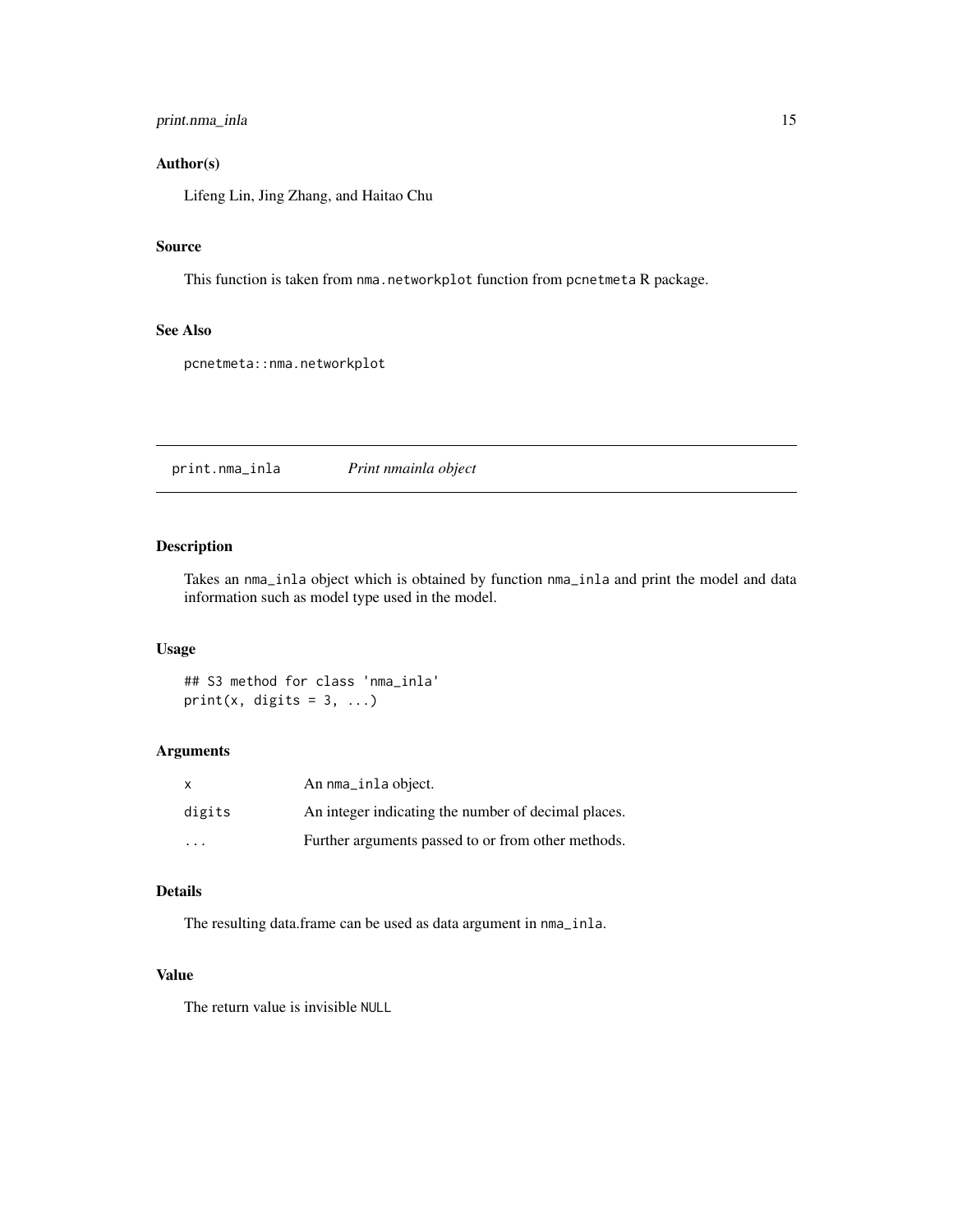# <span id="page-14-0"></span>print.nma\_inla 15

# Author(s)

Lifeng Lin, Jing Zhang, and Haitao Chu

# Source

This function is taken from nma.networkplot function from pcnetmeta R package.

#### See Also

pcnetmeta::nma.networkplot

print.nma\_inla *Print nmainla object*

# Description

Takes an nma\_inla object which is obtained by function nma\_inla and print the model and data information such as model type used in the model.

# Usage

## S3 method for class 'nma\_inla' print(x, digits =  $3, ...$ )

#### Arguments

| $\mathsf{x}$ | An nma_inla object.                                 |
|--------------|-----------------------------------------------------|
| digits       | An integer indicating the number of decimal places. |
| .            | Further arguments passed to or from other methods.  |

# Details

The resulting data.frame can be used as data argument in nma\_inla.

# Value

The return value is invisible NULL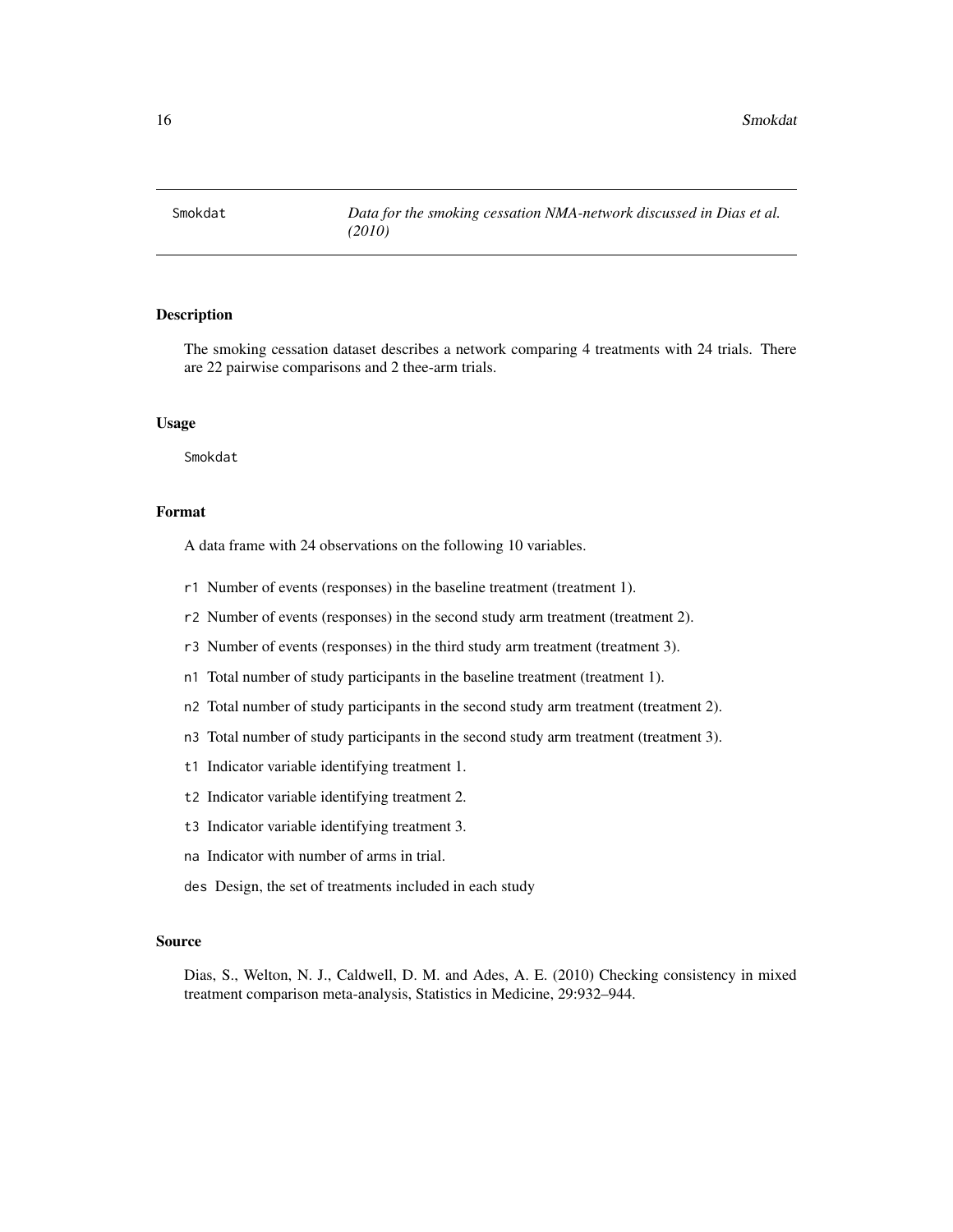<span id="page-15-0"></span>

The smoking cessation dataset describes a network comparing 4 treatments with 24 trials. There are 22 pairwise comparisons and 2 thee-arm trials.

#### Usage

Smokdat

#### Format

A data frame with 24 observations on the following 10 variables.

- r1 Number of events (responses) in the baseline treatment (treatment 1).
- r2 Number of events (responses) in the second study arm treatment (treatment 2).
- r3 Number of events (responses) in the third study arm treatment (treatment 3).
- n1 Total number of study participants in the baseline treatment (treatment 1).
- n2 Total number of study participants in the second study arm treatment (treatment 2).
- n3 Total number of study participants in the second study arm treatment (treatment 3).
- t1 Indicator variable identifying treatment 1.
- t2 Indicator variable identifying treatment 2.
- t3 Indicator variable identifying treatment 3.
- na Indicator with number of arms in trial.
- des Design, the set of treatments included in each study

#### Source

Dias, S., Welton, N. J., Caldwell, D. M. and Ades, A. E. (2010) Checking consistency in mixed treatment comparison meta-analysis, Statistics in Medicine, 29:932–944.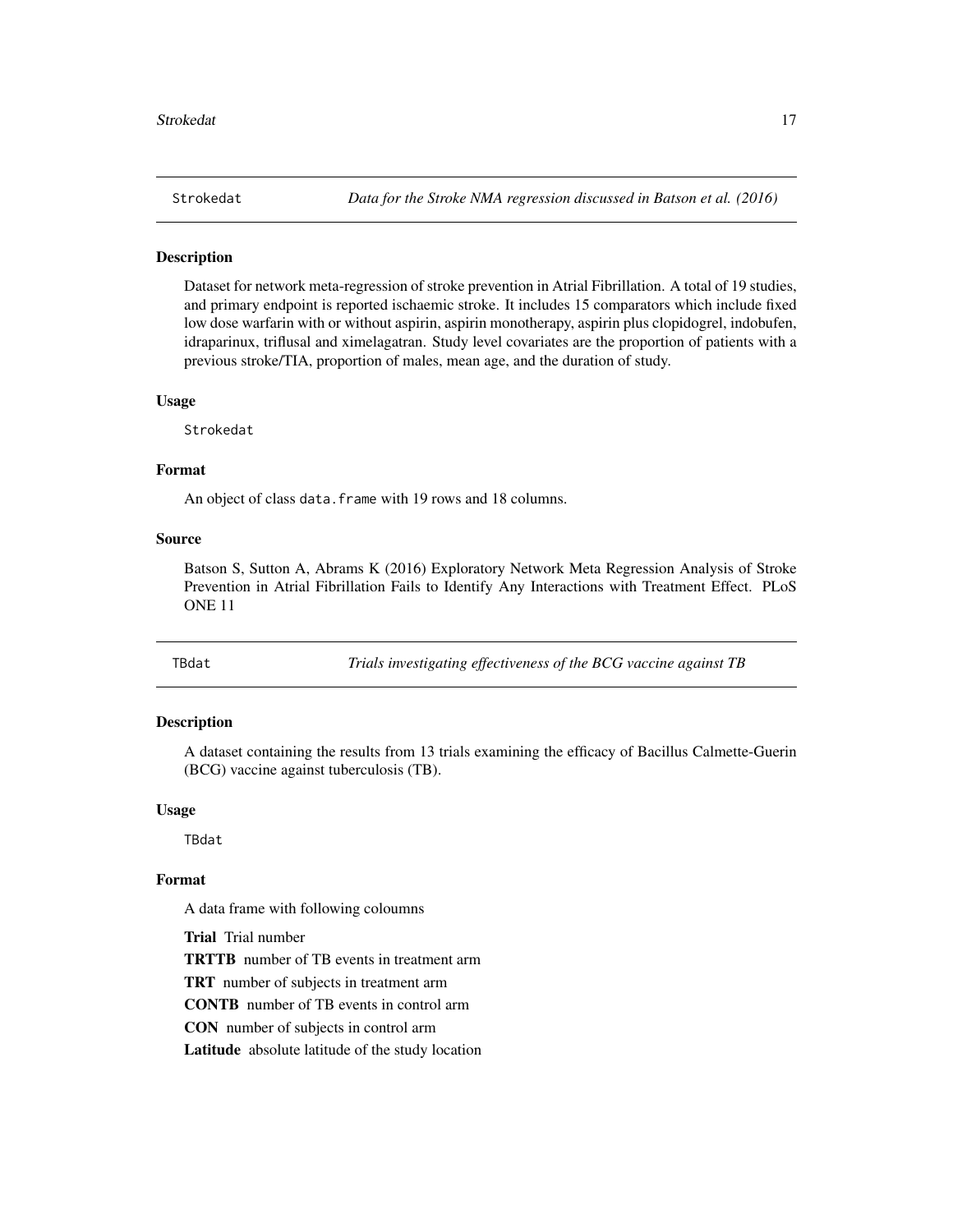<span id="page-16-0"></span>

Dataset for network meta-regression of stroke prevention in Atrial Fibrillation. A total of 19 studies, and primary endpoint is reported ischaemic stroke. It includes 15 comparators which include fixed low dose warfarin with or without aspirin, aspirin monotherapy, aspirin plus clopidogrel, indobufen, idraparinux, triflusal and ximelagatran. Study level covariates are the proportion of patients with a previous stroke/TIA, proportion of males, mean age, and the duration of study.

#### Usage

Strokedat

# Format

An object of class data.frame with 19 rows and 18 columns.

## Source

Batson S, Sutton A, Abrams K (2016) Exploratory Network Meta Regression Analysis of Stroke Prevention in Atrial Fibrillation Fails to Identify Any Interactions with Treatment Effect. PLoS ONE 11

TBdat *Trials investigating effectiveness of the BCG vaccine against TB*

# Description

A dataset containing the results from 13 trials examining the efficacy of Bacillus Calmette-Guerin (BCG) vaccine against tuberculosis (TB).

#### Usage

TBdat

#### Format

A data frame with following coloumns

Trial Trial number

TRTTB number of TB events in treatment arm

TRT number of subjects in treatment arm

CONTB number of TB events in control arm

CON number of subjects in control arm

Latitude absolute latitude of the study location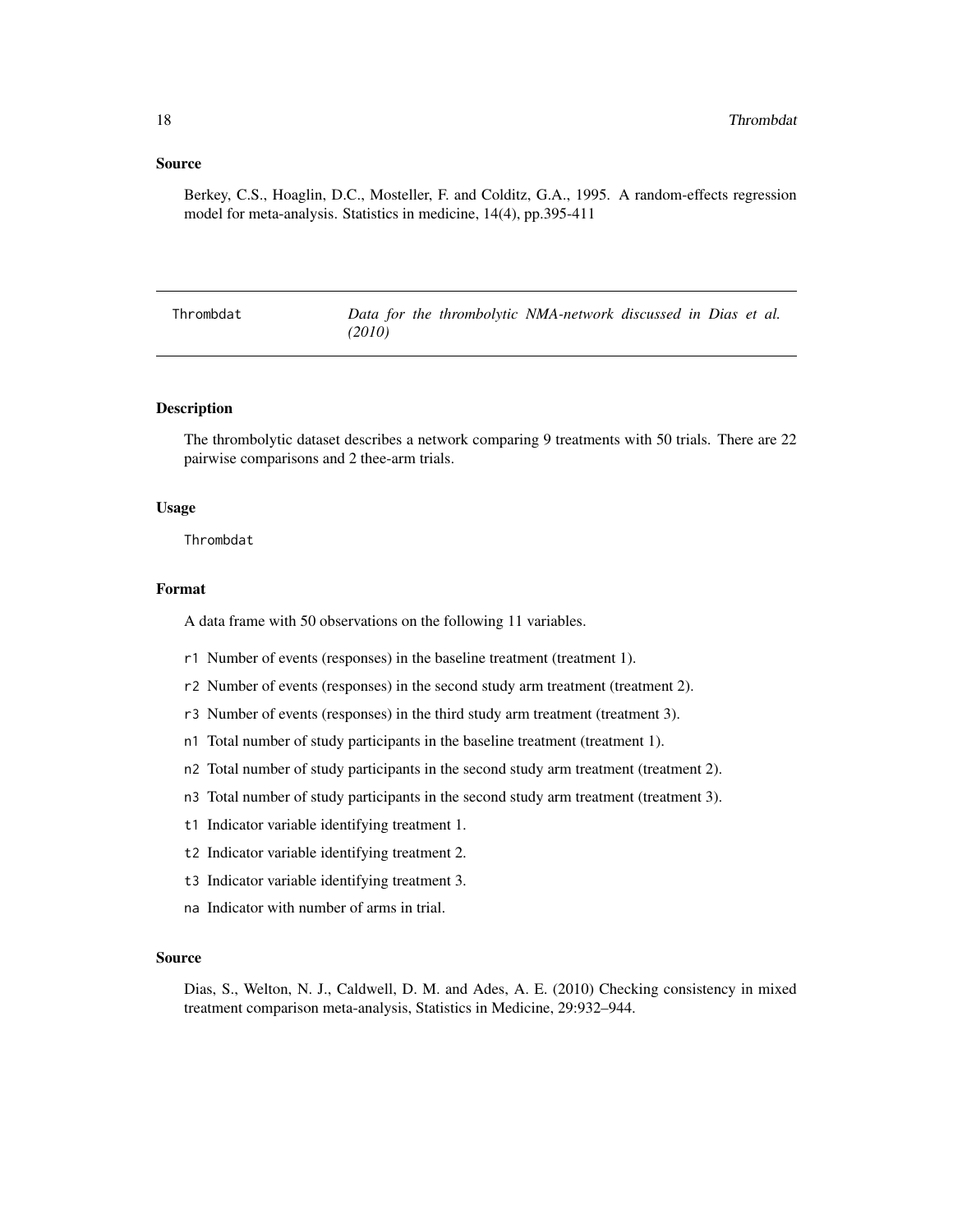#### <span id="page-17-0"></span>Source

Berkey, C.S., Hoaglin, D.C., Mosteller, F. and Colditz, G.A., 1995. A random-effects regression model for meta-analysis. Statistics in medicine, 14(4), pp.395-411

Thrombdat *Data for the thrombolytic NMA-network discussed in Dias et al. (2010)*

#### Description

The thrombolytic dataset describes a network comparing 9 treatments with 50 trials. There are 22 pairwise comparisons and 2 thee-arm trials.

#### Usage

Thrombdat

#### Format

A data frame with 50 observations on the following 11 variables.

- r1 Number of events (responses) in the baseline treatment (treatment 1).
- r2 Number of events (responses) in the second study arm treatment (treatment 2).
- r3 Number of events (responses) in the third study arm treatment (treatment 3).
- n1 Total number of study participants in the baseline treatment (treatment 1).
- n2 Total number of study participants in the second study arm treatment (treatment 2).
- n3 Total number of study participants in the second study arm treatment (treatment 3).
- t1 Indicator variable identifying treatment 1.
- t2 Indicator variable identifying treatment 2.
- t3 Indicator variable identifying treatment 3.
- na Indicator with number of arms in trial.

# Source

Dias, S., Welton, N. J., Caldwell, D. M. and Ades, A. E. (2010) Checking consistency in mixed treatment comparison meta-analysis, Statistics in Medicine, 29:932–944.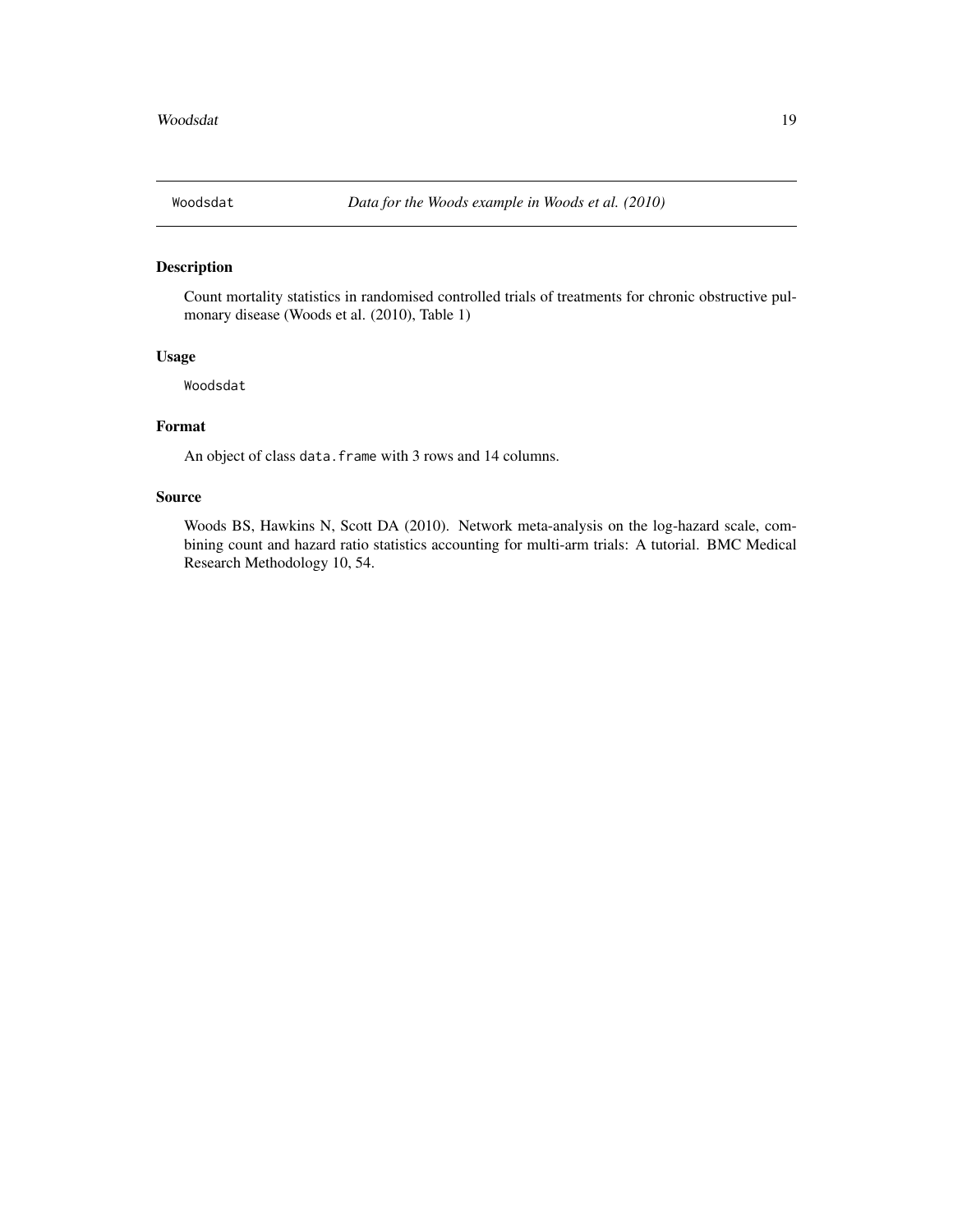<span id="page-18-0"></span>

Count mortality statistics in randomised controlled trials of treatments for chronic obstructive pulmonary disease (Woods et al. (2010), Table 1)

#### Usage

Woodsdat

# Format

An object of class data. frame with 3 rows and 14 columns.

### Source

Woods BS, Hawkins N, Scott DA (2010). Network meta-analysis on the log-hazard scale, combining count and hazard ratio statistics accounting for multi-arm trials: A tutorial. BMC Medical Research Methodology 10, 54.